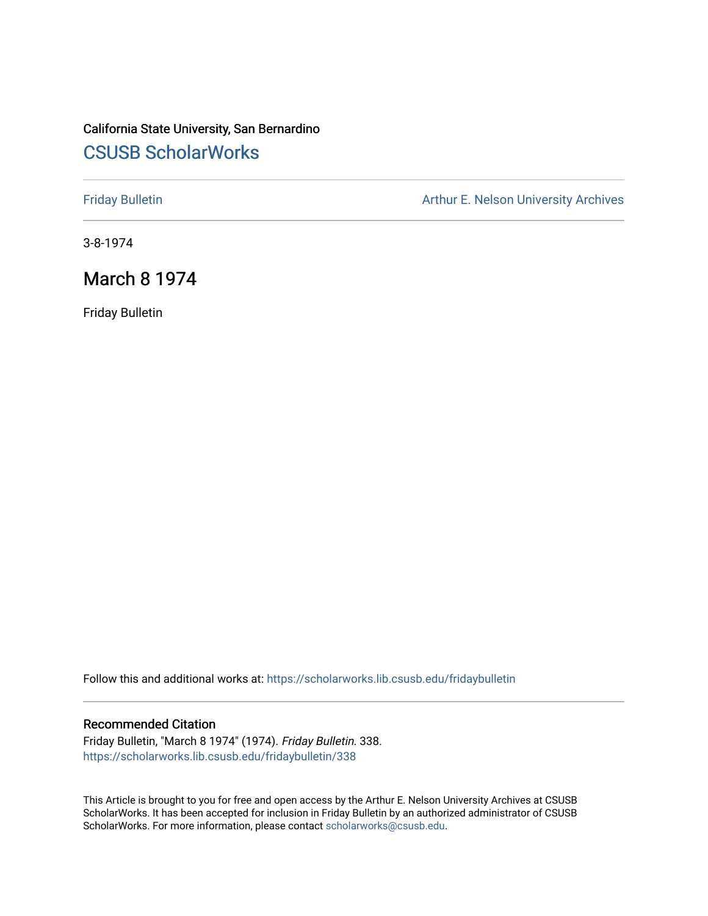# California State University, San Bernardino [CSUSB ScholarWorks](https://scholarworks.lib.csusb.edu/)

[Friday Bulletin](https://scholarworks.lib.csusb.edu/fridaybulletin) **Arthur E. Nelson University Archives** Arthur E. Nelson University Archives

3-8-1974

## March 8 1974

Friday Bulletin

Follow this and additional works at: [https://scholarworks.lib.csusb.edu/fridaybulletin](https://scholarworks.lib.csusb.edu/fridaybulletin?utm_source=scholarworks.lib.csusb.edu%2Ffridaybulletin%2F338&utm_medium=PDF&utm_campaign=PDFCoverPages)

## Recommended Citation

Friday Bulletin, "March 8 1974" (1974). Friday Bulletin. 338. [https://scholarworks.lib.csusb.edu/fridaybulletin/338](https://scholarworks.lib.csusb.edu/fridaybulletin/338?utm_source=scholarworks.lib.csusb.edu%2Ffridaybulletin%2F338&utm_medium=PDF&utm_campaign=PDFCoverPages)

This Article is brought to you for free and open access by the Arthur E. Nelson University Archives at CSUSB ScholarWorks. It has been accepted for inclusion in Friday Bulletin by an authorized administrator of CSUSB ScholarWorks. For more information, please contact [scholarworks@csusb.edu.](mailto:scholarworks@csusb.edu)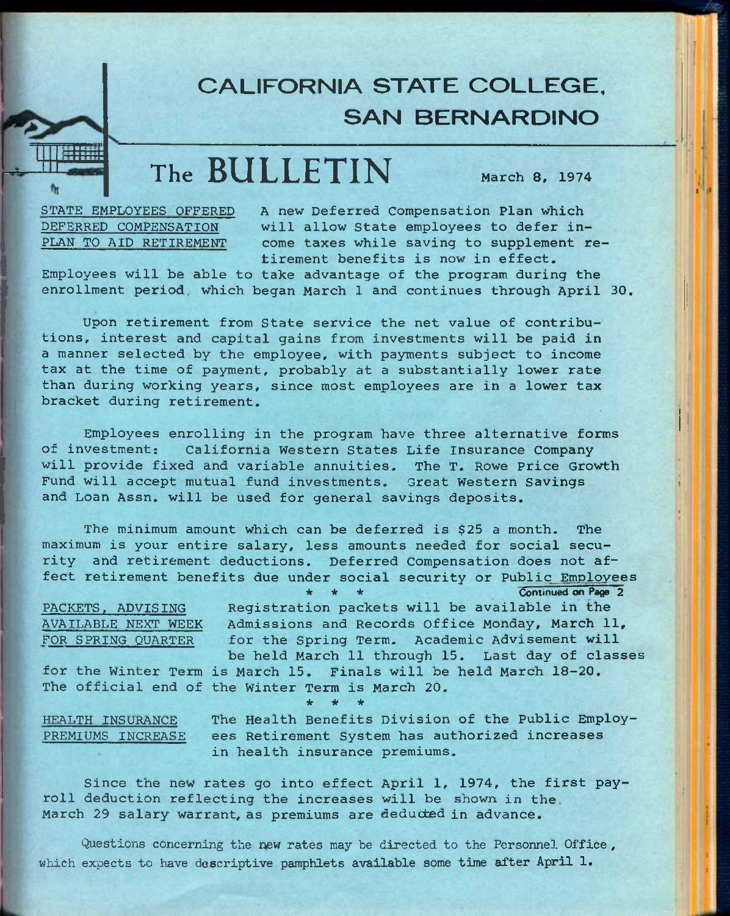# **CALIFORNIA STATE COLLEGE. SAN BERNARDINO**

# **The BULLETIN** March 8, 1974

STATE EMPLOYEES OFFERED PLAN TO AID RETIREMENT

DEFERRED COMPENSATION will allow State employees to defer in-A new Deferred Compensation Plan which come taxes while saving to supplement retirement benefits is now in effect.

Employees will be able to take advantage of the program during the enrollment period, which began March 1 and continues through April 30.

Upon retirement from State service the net value of contributions, interest and capital gains from investments will be paid in a manner selected by the employee, with payments subject to income tax at the time of payment, probably at a substantially lower rate than during working years, since most employees are in a lower tax bracket during retirement.

Employees enrolling in the program have three alternative forms of investment; California Western States Life Insurance Company will provide fixed and variable annuities. The T. Rowe Price Growth Fund will accept mutual fund investments. Great Western Savings and Loan Assn. will be used for general savings deposits.

The minimum amount which can be deferred is \$25 a month. The maximum is your entire salary, less amounts needed for social security and retirement deductions. Deferred Compensation does not affect retirement benefits due under social security or Public Employees

Continued on Page 2 Registration packets will be available in the Admissions and Records Office Monday, March 11, for the Spring Term. Academic Advisement will be held March 11 through 15. Last day of classes PACKETS. ADVISING AVAILABLE NEXT WEEK FOR SPRING QUARTER

for the Winter Term is March 15, Finals will be held March 18-20. The official end of the Winter Term is March 20. *ie \* it* 

PREMIUMS INCREASE

HEALTH INSURANCE The Health Benefits Division of the Public Employees Retirement System has authorized increases in health insurance premiums.

Since the new rates go into effect April 1, 1974, the first payroll deduction reflecting the increases will be shown in the. March 29 salary warrant, as premiums are deducted in advance.

**Questions concerning the new rates may be directed to the Personnel Office , which expects to have descriptive pamphlets available some time after April 1.**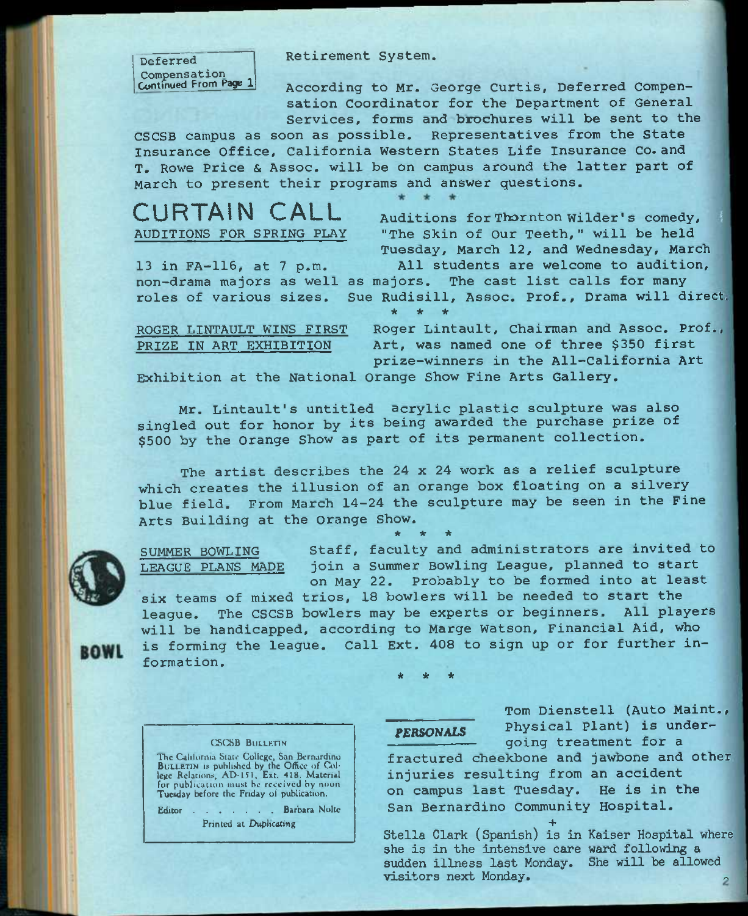Deferred Compensation Continued From Page 1 **Retirement System.** 

**According to Mr. George Curtis, Deferred Compensation Coordinator for the Department of General Services, forms and brochures will be sent to the** 

**CSCSB campus as soon as possible. Representatives from the State Insurance Office, California Western States Life Insurance Co.and T. Rowe Price & Assoc. will be on campus around the latter part of March to present their programs and answer questions.** 

**CURTAIN CALL**  AUDITIONS FOR SPRING PLAY

Auditions for Thornton Wilder's comedy, **"The Skin of Our Teeth," will be held**  Tuesday, March 12, and Wednesday, March

13 in FA-116, at 7 p.m. All students are welcome to audition, non-drama majors as well as majors. The cast list calls for many roles of various sizes. Sue Rudisill, Assoc. Prof., Drama will direct, *\* -k -k* 

ROGER LINTAULT WINS FIRST Roger Lintault, Chairman and Assoc. Prof., PRIZE IN ART EXHIBITION Art, was named one of three \$350 first **prize-winners in the All-California Art** 

**Exhibition at the National Orange Show Fine Arts Gallery.** 

Mr. Lintault's untitled acrylic plastic sculpture was also singled out for honor by its being awarded the purchase prize of \$500 by the Orange Show as part of its permanent collection.

**The artist describes the** 24 **x** 24 **work as a relief sculpture which creates the illusion of an orange box floating on a silvery blue field. From March** 14-24 **the sculpture may be seen in the Fine Arts Building at the Orange Show.**  \* \* \*

six teams of mixed trios, 18 bowlers will be needed to start the



SUMMER BOWLING Staff, faculty and administrators are invited to LEAGUE PLANS MADE join a Summer Bowling League, planned to start on May 22. Probably to be formed into at least

league. The CSCSB bowlers may be experts or beginners. All players will be handicapped, according to Marge Watson, Financial Aid, who is forming the league. Call Ext. 408 to sign up or for further information.

*k \* k* 

## **CSCSB BULLETIN**

The California State College, San Bernardino BULLETIN is published by the Office of Cal-<br>lege Relations, AD-151, Ext. 418. Material<br>for publication must be received by noon Tuesday before the Friday of publication.

Editor . . . . . . Barbara Nolte

Printed at Duplicating

**Tom Dienstell (Auto Maint.,**  Physical Plant) is under**going treatment for a fractured cheekbone and jawbone and other** 

**injuries resulting from an accident on campus last Tuesday. He is in the San Bernardino Community Hospital.** 

**+ Stella Clark (Spanish) is in Kaiser Hospital where she is in the intensive care ward following a sudden illness last Monday. She will be allowed visitors next Monday.**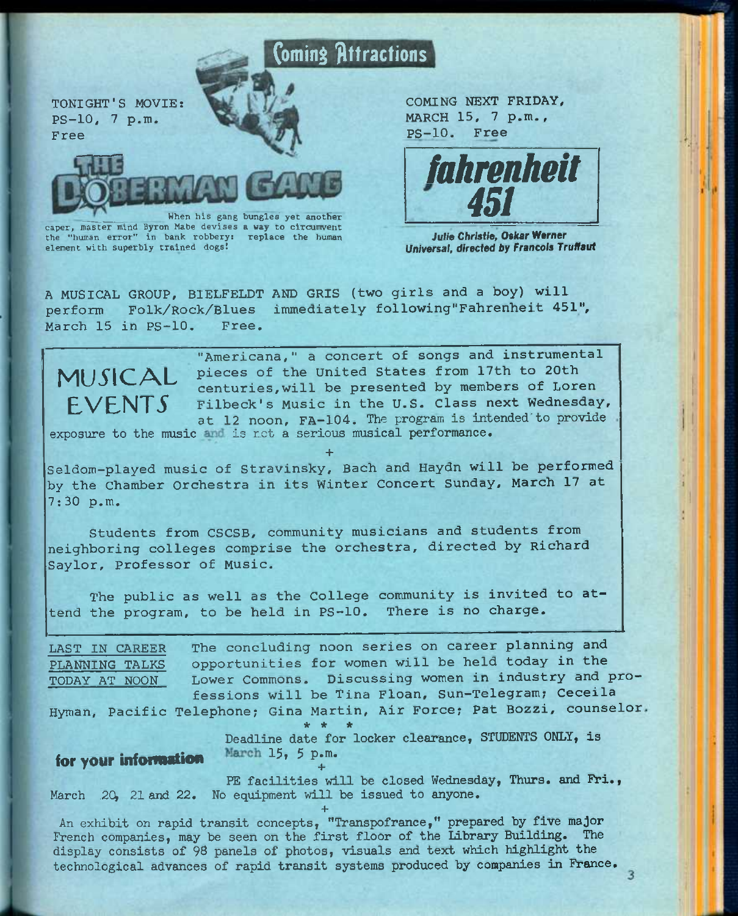

caper, master mind Byron Mabe devises a way to circumvent

element with superbly trained dogs!

the "human error" in bank robbery: replace the human

COMING NEXT FRIDAY, MARCH 15, 7 p.m., PS-10. Free



*Julh Christie,* Oskar Werner Universal, directed by Francois Truffaut

A MUSICAL GROUP, BIELFELDT AND GRIS (two girls and a boy) will perform Folk/Rock/Blues immediately following"Fahrenheit 451", March 15 in PS-10. Free.



**EVENTS** Filbeck's Music in the U.S. Class next Wednesday, "Americana," a concert of songs and instrumental pieces of the United States from 17th to 20th centuries,will be presented by members of Loren at 12 noon, FA-104. The program is intended'to provide

exposure to the music and is net a serious musical performance.

Seldom-played music of Stravinsky, Bach and Haydn will be performed by the Chamber Orchestra in its Winter Concert Sunday, March 17 at 7:30 p.m.

**+** 

Students from CSCSB, community musicians and students from neighboring colleges comprise the orchestra, directed by Richard Saylor, Professor of Music.

The public as well as the College community is invited to attend the program, to be held in PS-10. There is no charge.

| LAST IN CAREER                                                 | The concluding noon series on career planning and                       |  |  |  |
|----------------------------------------------------------------|-------------------------------------------------------------------------|--|--|--|
| PLANNING TALKS                                                 | opportunities for women will be held today in the                       |  |  |  |
| TODAY AT NOON                                                  | Lower Commons. Discussing women in industry and pro-                    |  |  |  |
|                                                                | fessions will be Tina Floan, Sun-Telegram; Ceceila                      |  |  |  |
|                                                                | Hyman, Pacific Telephone; Gina Martin, Air Force; Pat Bozzi, counselor. |  |  |  |
| * * *<br>Deadline date for locker clearance, STUDENTS ONLY, is |                                                                         |  |  |  |

for your information  $\frac{\text{March } 15, 5 \text{ p.m.}}{\cdots}$ 

PE facilities will be closed Wednesday, Thurs. and Fri., March 20, 21 and 22. No equipment will be issued to anyone.

**+**  An exhibit on rapid transit concepts, "Transpofranee," prepared by five major French companies, may be seen on the first floor of the Library Building. The display consists of 98 panels of photos, visuals and text which highlight the technological advances of rapid transit systems produced by companies in France.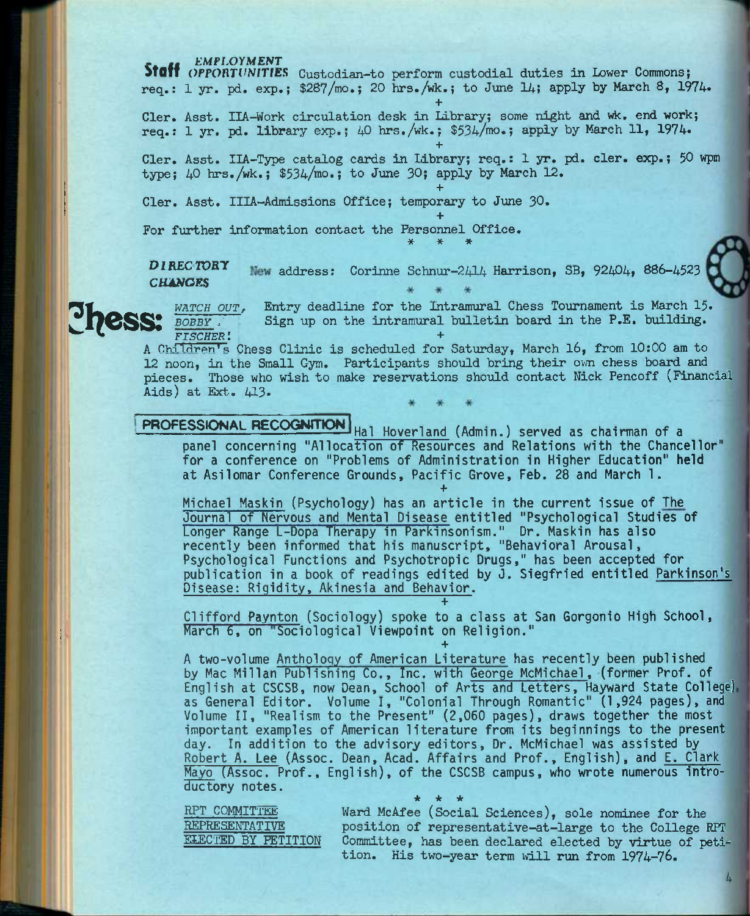**^Ijess:** 

**Staff** *OPPORTUNITIES* Custodian-to perform custodial duties in Lower Commons; req.:  $1 \text{ yr. pd. } \exp_i$ ; \$287/mo.; 20 hrs./wk.; to June 14; apply by March 8, 1974.

**+** 

**+** 

**+** 

**+** 

Cler. Asst. IIA-Work circulation desk in Library; some night and wk. end work; req.: 1 yr, pd. library exp.; 40 hrs./wk.; \$534/mo.; apply by March 11, 1974.

Cler. Asst. IIA-Type catalog cards in Library; req.: 1 yr. pd. cler. exp.; 50 wpm type; 40 hrs./wk.; \$534/mo.; to June 30; apply by March 12.

Cler. Asst. IIIA-Admissions Office; temporary to June 30.

For further information contact the Personnel Office.<br>  $*$  \* \* \*

 $DIRECTORY$  New address: Corinne Schnur-2414 Harrison, SB,  $92404$ , 886-4523 *CtUNORS* 

*watch out,* Entry deadline for the Intramural Chess Tournament is March 15. *bobby* / Sign up on the intramural bulletin board in the P.E. building. *fischer'. +* 

A Children's Chess Clinic is scheduled for Saturday, March 16, from 10:00 am to 12 noon, in the Small Gym. Participants should bring their own chess board and pieces. Those who wish to make reservations should contact Nick Pencoff (Financial Aids) at Ext.  $413.$ 

**PROFESSIONAL RECOGNITION** Hal Hoverland (Admin.) served as chairman of a panel concerning "Allocation of Resources and Relations with the Chancellor" for a conference on "Problems of Administration in Higher Education" held at Asilomar Conference Grounds, Pacific Grove, Feb, 28 and March 1. **+** 

Michael Maskin (Psychology) has an article in the current issue of The Journal of Nervous and Mental Disease entitled "Psychological Studies of Longer Range L-Dopa Therapy in Parkinsonism." Dr. Maskin has also recently been informed that his manuscript, "Behavioral Arousal, Psychological Functions and Psychotropic Drugs," has been accepted for publication in a book of readings edited by J. Siegfried entitled Parkinson's Disease: Rigidity, Akinesia and Behavior.

**+**  Clifford Paynton (Sociology) spoke to a class at San Gorgonio High School, March 6, on "Sociological Viewpoint on Religion." **+** 

A two-volume Anthology of American Literature has recently been published by Mac Millan Publisninq Co., Inc. with George McMichael, (former Prof, of English at CSCSB, now Dean, School of Arts and Letters, Hayward State College) as General Editor. Volume I, "Colonial Through Romantic" (1,924 pages), and Volume II, "Realism to the Present" (2,060 pages), draws together the most important examples of American literature from its beginnings to the present day. In addition to the advisory editors. Dr. McMichael was assisted by Robert A. Lee (Assoc. Dean, Acad. Affairs and Prof., English), and E. Clark Mayo (Assoc. Prof., English), of the CSCSB campus, who wrote numerous introductory notes. *\* \* \** 

RPT COMMITTEE Ward McAfee (Social Sciences), sole nominee for the REPRESENTATIVE position of representative-at-large to the College RPT<br>ELECTED BY PETITION Committee, has been declared elected by virtue of peti-Committee, has been declared elected by virtue of petition. His two-year term will run from 1974-76.

4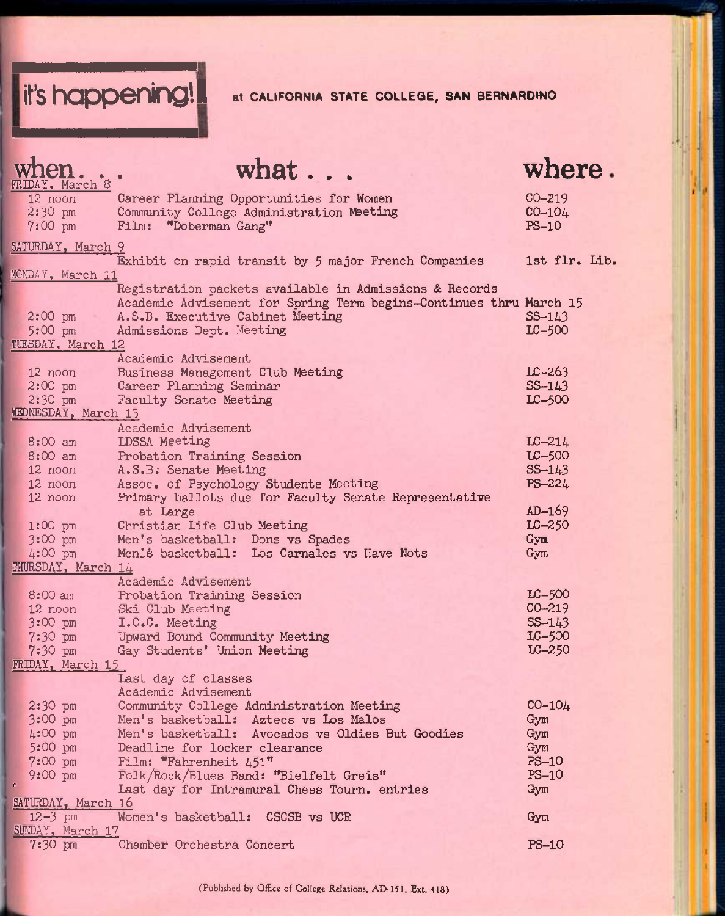**it's happening!** at CALIFORNIA STATE COLLEGE, SAN BERNARDINO

|              | FRIDAY, March 8        | what                                                                                      | where.                  |
|--------------|------------------------|-------------------------------------------------------------------------------------------|-------------------------|
|              | 12 noon<br>$2:30$ pm   | Career Planning Opportunities for Women<br>Community College Administration Meeting       | $CO - 219$<br>$CO-104$  |
|              | $7:00 \text{ pm}$      | Film: "Doberman Gang"                                                                     | $PS-10$                 |
|              | SATURDAY, March 9      | Exhibit on rapid transit by 5 major French Companies                                      | 1st flr. Lib.           |
|              | MONDAY, March 11       |                                                                                           |                         |
|              |                        | Registration packets available in Admissions & Records                                    |                         |
|              |                        | Academic Advisement for Spring Term begins-Continues thru March 15                        |                         |
|              | $2:00$ pm              | A.S.B. Executive Cabinet Meeting                                                          | $SS - 143$              |
|              | 5:00 pm                | Admissions Dept. Meeting                                                                  | $LC-500$                |
|              | TUESDAY, March 12      |                                                                                           |                         |
|              |                        | Academic Advisement                                                                       |                         |
|              | $12$ noon<br>$2:00$ pm | Business Management Club Meeting                                                          | $LC - 263$<br>$S-S-143$ |
|              | $2:30$ pm              | Career Planning Seminar<br><b>Faculty Senate Meeting</b>                                  | $LC-500$                |
|              | WEDNESDAY, March 13    |                                                                                           |                         |
|              |                        | Academic Advisement                                                                       |                         |
|              | 8:00 am                | LDSSA Meeting                                                                             | $LC-214$                |
|              | 8:00 am                | Probation Training Session                                                                | $LC-500$                |
|              | 12 noon                | A.S.B. Senate Meeting                                                                     | $S5 - 143$              |
|              | 12 noon                | Assoc. of Psychology Students Meeting                                                     | PS-224                  |
|              | 12 noon                | Primary ballots due for Faculty Senate Representative                                     |                         |
|              |                        | at Large                                                                                  | $AD-169$                |
|              | $1:00$ pm              | Christian Life Club Meeting                                                               | $LC-250$                |
|              | 3:00 pm                | Men's basketball: Dons vs Spades                                                          | Gym                     |
|              | 4:00 pm                | Menis basketball: Los Carnales vs Have Nots                                               | Gym                     |
|              | THURSDAY, March 14     |                                                                                           |                         |
|              |                        | Academic Advisement                                                                       |                         |
|              | 8:00 am                | Probation Training Session                                                                | $LC-500$                |
|              | 12 noon                | Ski Club Meeting                                                                          | $CO - 219$              |
|              | 3:00 pm                | I.O.C. Meeting                                                                            | $SS-143$                |
|              | $7:30$ pm              | Upward Bound Community Meeting                                                            | $LC-500$                |
|              | $7:30$ pm              | Gay Students' Union Meeting                                                               | $LC-250$                |
|              | FRIDAY, March 15       |                                                                                           |                         |
|              |                        | Last day of classes                                                                       |                         |
|              |                        | Academic Advisement                                                                       |                         |
|              | $2:30$ pm              | Community College Administration Meeting                                                  | $CO-104$                |
|              | $3:00$ pm<br>4:00 pm   | Men's basketball: Aztecs vs Los Malos<br>Men's basketball: Avocados vs Oldies But Goodies | Gym                     |
|              | 5:00 pm                | Deadline for locker clearance                                                             | Gym<br>Gym              |
|              | $7:00 \text{ pm}$      | Film: "Fahrenheit 451"                                                                    | $PS-10$                 |
|              | $9:00$ pm              | Folk/Rock/Blues Band: "Bielfelt Greis"                                                    | $PS-10$                 |
| $\mathbf{r}$ |                        | Last day for Intramural Chess Tourn. entries                                              | Gym                     |
|              | SATURDAY, March 16     |                                                                                           |                         |
|              | $12 - 3$ pm            | Women's basketball: CSCSB vs UCR                                                          | Gym                     |
|              | SUNDAY, March 17       |                                                                                           |                         |
|              | $7:30 \text{ pm}$      | Chamber Orchestra Concert                                                                 | $PS-10$                 |